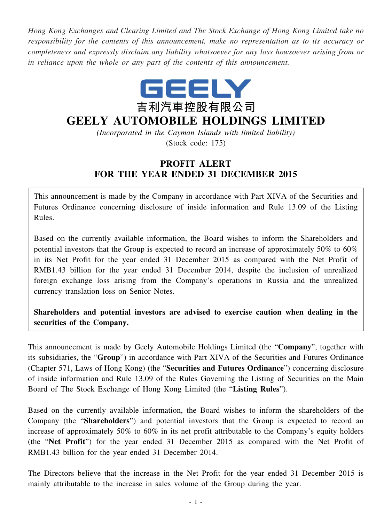*Hong Kong Exchanges and Clearing Limited and The Stock Exchange of Hong Kong Limited take no responsibility for the contents of this announcement, make no representation as to its accuracy or completeness and expressly disclaim any liability whatsoever for any loss howsoever arising from or in reliance upon the whole or any part of the contents of this announcement.*



## **GEELY AUTOMOBILE HOLDINGS LIMITED**

*(Incorporated in the Cayman Islands with limited liability)* (Stock code: 175)

## **PROFIT ALERT FOR THE YEAR ENDED 31 DECEMBER 2015**

This announcement is made by the Company in accordance with Part XIVA of the Securities and Futures Ordinance concerning disclosure of inside information and Rule 13.09 of the Listing Rules.

Based on the currently available information, the Board wishes to inform the Shareholders and potential investors that the Group is expected to record an increase of approximately 50% to 60% in its Net Profit for the year ended 31 December 2015 as compared with the Net Profit of RMB1.43 billion for the year ended 31 December 2014, despite the inclusion of unrealized foreign exchange loss arising from the Company's operations in Russia and the unrealized currency translation loss on Senior Notes.

**Shareholders and potential investors are advised to exercise caution when dealing in the securities of the Company.**

This announcement is made by Geely Automobile Holdings Limited (the "**Company**", together with its subsidiaries, the "**Group**") in accordance with Part XIVA of the Securities and Futures Ordinance (Chapter 571, Laws of Hong Kong) (the "**Securities and Futures Ordinance**") concerning disclosure of inside information and Rule 13.09 of the Rules Governing the Listing of Securities on the Main Board of The Stock Exchange of Hong Kong Limited (the "**Listing Rules**").

Based on the currently available information, the Board wishes to inform the shareholders of the Company (the "**Shareholders**") and potential investors that the Group is expected to record an increase of approximately 50% to 60% in its net profit attributable to the Company's equity holders (the "**Net Profit**") for the year ended 31 December 2015 as compared with the Net Profit of RMB1.43 billion for the year ended 31 December 2014.

The Directors believe that the increase in the Net Profit for the year ended 31 December 2015 is mainly attributable to the increase in sales volume of the Group during the year.